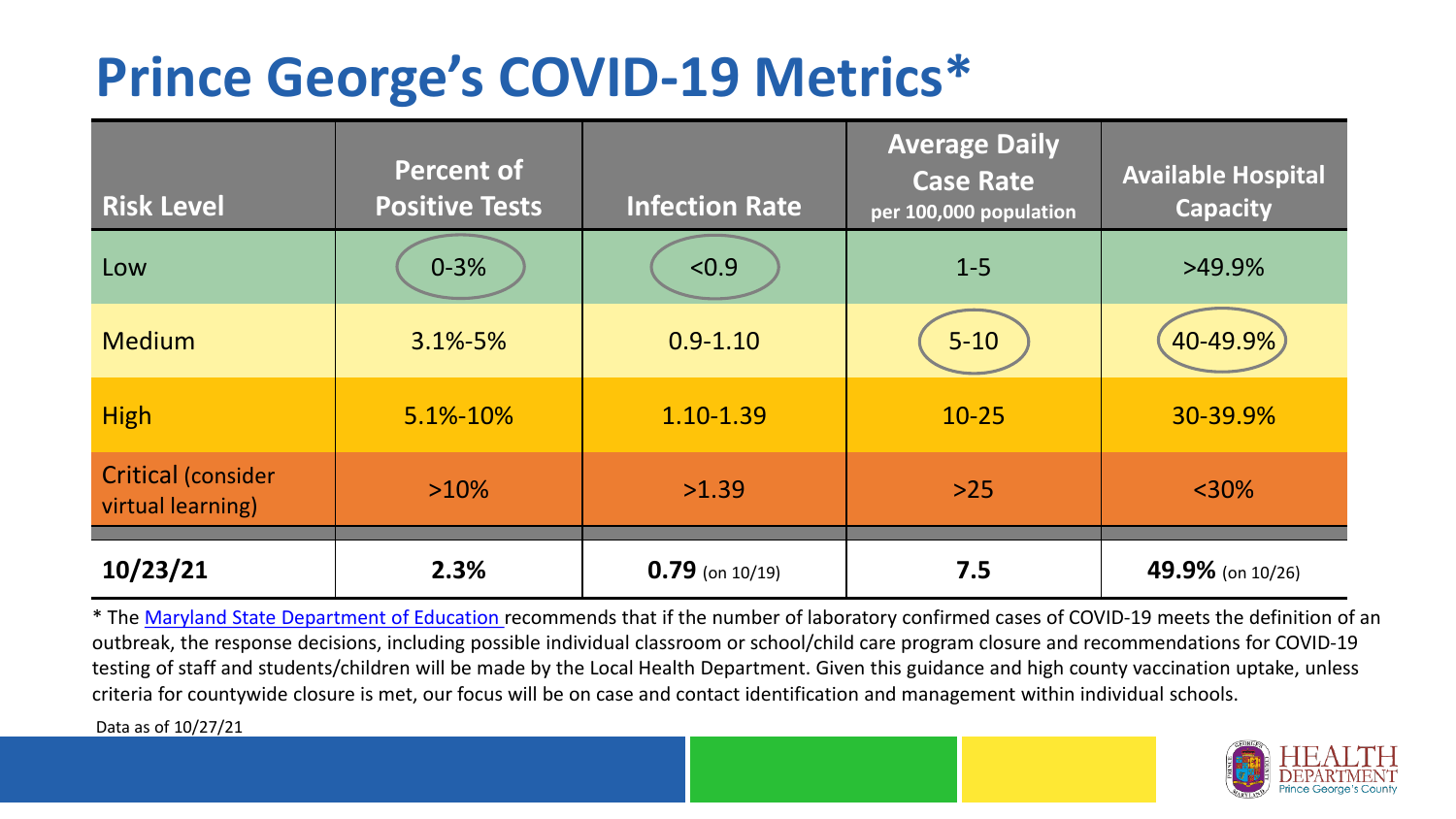## **Prince George's COVID-19 Metrics\***

| <b>Risk Level</b>                              | <b>Percent of</b><br><b>Positive Tests</b> | <b>Infection Rate</b> | <b>Average Daily</b><br><b>Case Rate</b><br>per 100,000 population | <b>Available Hospital</b><br><b>Capacity</b> |
|------------------------------------------------|--------------------------------------------|-----------------------|--------------------------------------------------------------------|----------------------------------------------|
| Low                                            | $0 - 3%$                                   | < 0.9                 | $1 - 5$                                                            | $>49.9\%$                                    |
| <b>Medium</b>                                  | $3.1\% - 5\%$                              | $0.9 - 1.10$          | $5 - 10$                                                           | 40-49.9%                                     |
| <b>High</b>                                    | $5.1\% - 10\%$                             | 1.10-1.39             | $10 - 25$                                                          | 30-39.9%                                     |
| <b>Critical (consider</b><br>virtual learning) | $>10\%$                                    | >1.39                 | $>25$                                                              | $<$ 30%                                      |
| 10/23/21                                       | 2.3%                                       | $0.79$ (on 10/19)     | 7.5                                                                | 49.9% (on 10/26)                             |

\* The [Maryland State Department of Education r](https://earlychildhood.marylandpublicschools.org/system/files/filedepot/3/covid_guidance_full_080420.pdf)ecommends that if the number of laboratory confirmed cases of COVID-19 meets the definition of an outbreak, the response decisions, including possible individual classroom or school/child care program closure and recommendations for COVID-19 testing of staff and students/children will be made by the Local Health Department. Given this guidance and high county vaccination uptake, unless criteria for countywide closure is met, our focus will be on case and contact identification and management within individual schools.

Data as of 10/27/21

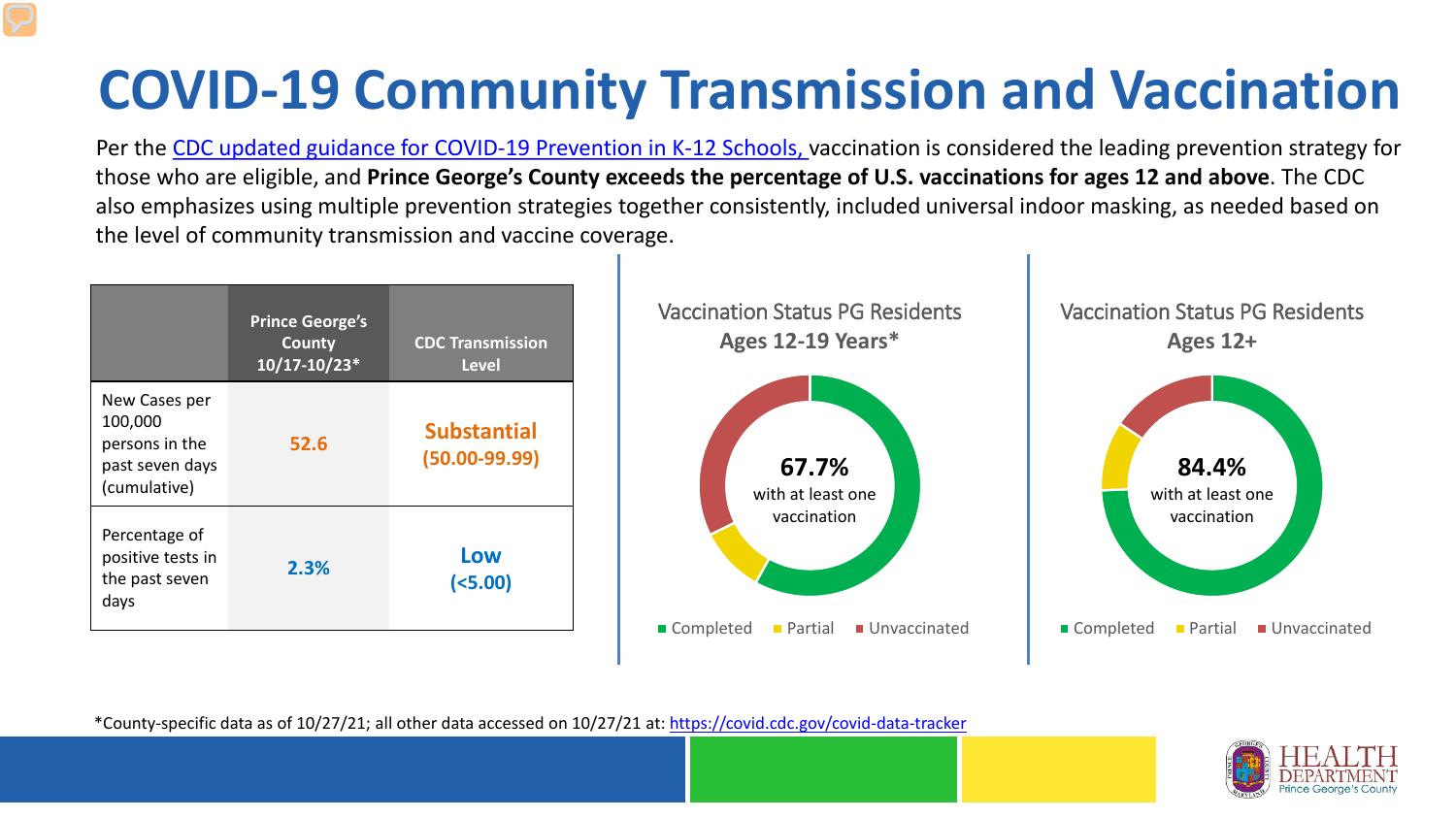# **COVID-19 Community Transmission and Vaccination**

Per the [CDC updated guidance for COVID-19 Prevention in K-12 Schools,](https://www.cdc.gov/coronavirus/2019-ncov/community/schools-childcare/k-12-guidance.html) vaccination is considered the leading prevention strategy for those who are eligible, and **Prince George's County exceeds the percentage of U.S. vaccinations for ages 12 and above**. The CDC also emphasizes using multiple prevention strategies together consistently, included universal indoor masking, as needed based on the level of community transmission and vaccine coverage.



\*County-specific data as of 10/27/21; all other data accessed on 10/27/21 at:<https://covid.cdc.gov/covid-data-tracker>

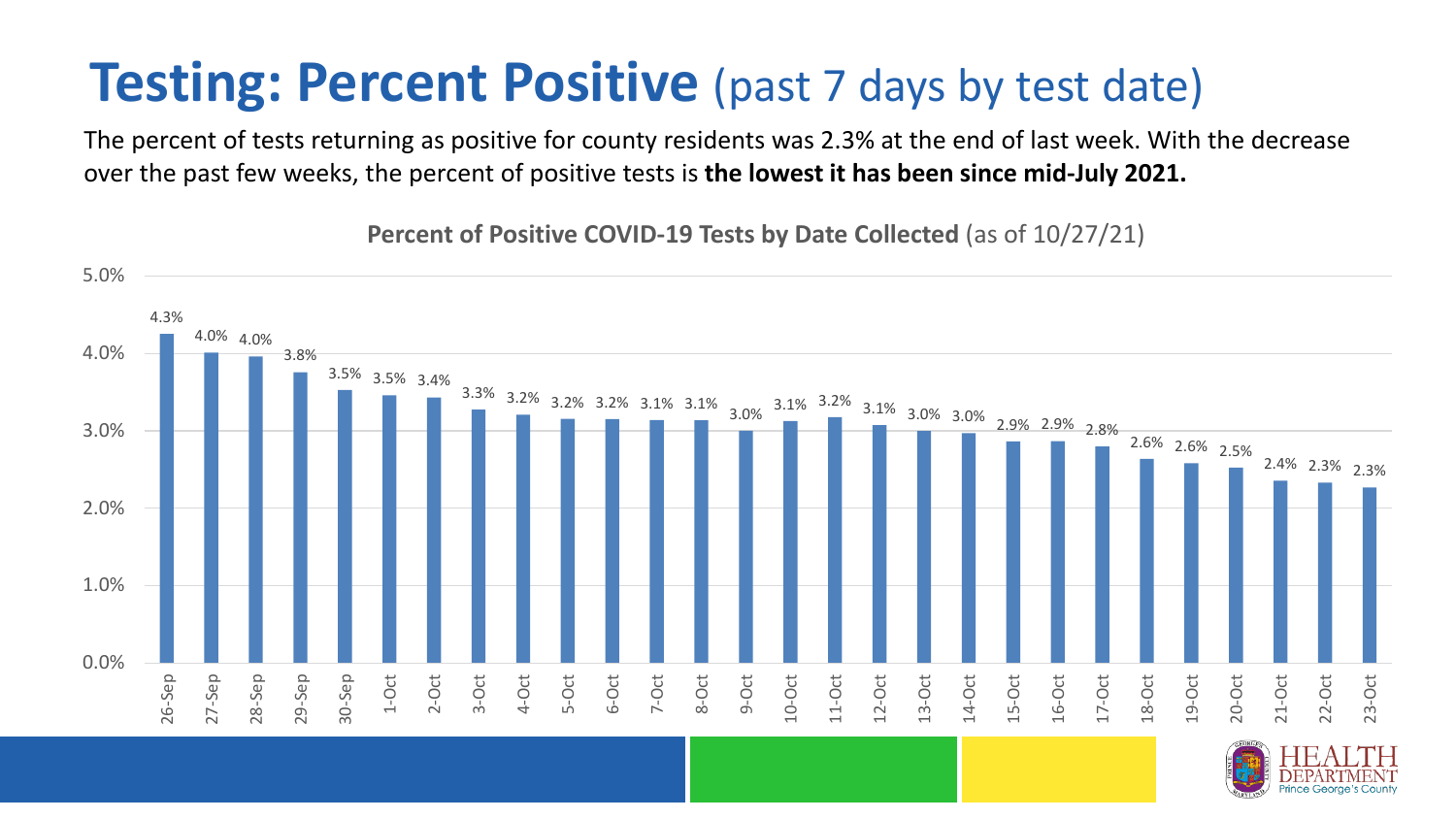### **Testing: Percent Positive** (past 7 days by test date)

The percent of tests returning as positive for county residents was 2.3% at the end of last week. With the decrease over the past few weeks, the percent of positive tests is **the lowest it has been since mid-July 2021.** 

4.3% 4.0% 4.0% 3.8% 3.5% 3.5% 3.4%  $3.3\%$  3.2% 3.2% 3.2% 3.1% 3.1% 3.1%  $3.1\%$  3.2% 3.1% 3.0% 3.0% 2.9% 2.9% 2.8% 2.6% 2.6% 2.5% 2.4% 2.3% 2.3% 0.0% 1.0% 2.0% 3.0% 4.0% 5.0% 26-Sep 27-Sep 28-Sep 29-Sep 30-Sep 1-Oct 2-Oct 3-Oct 4-Oct 5-Oct 6-Oct 7-Oct 8-Oct 9-Oct 10-Oct 11-Oct 12-Oct 13-Oct 14-Oct 15-Oct 16-Oct 17-Oct 18-Oct 19-Oct 20-Oct 21-Oct 22-Oct 23-Oct

**Percent of Positive COVID-19 Tests by Date Collected** (as of 10/27/21)

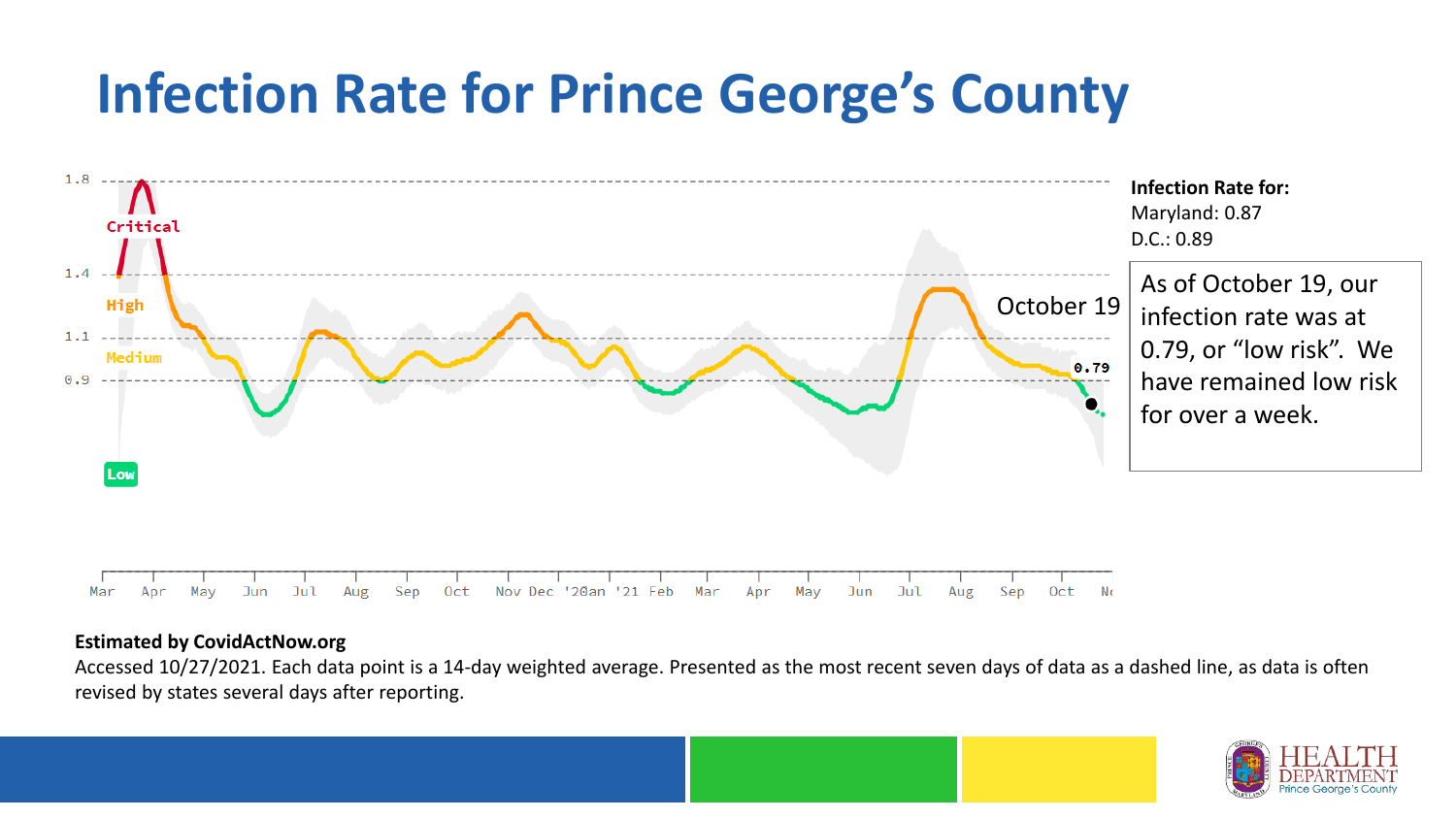## **Infection Rate for Prince George's County**



#### **Estimated by CovidActNow.org**

Accessed 10/27/2021. Each data point is a 14-day weighted average. Presented as the most recent seven days of data as a dashed line, as data is often revised by states several days after reporting.

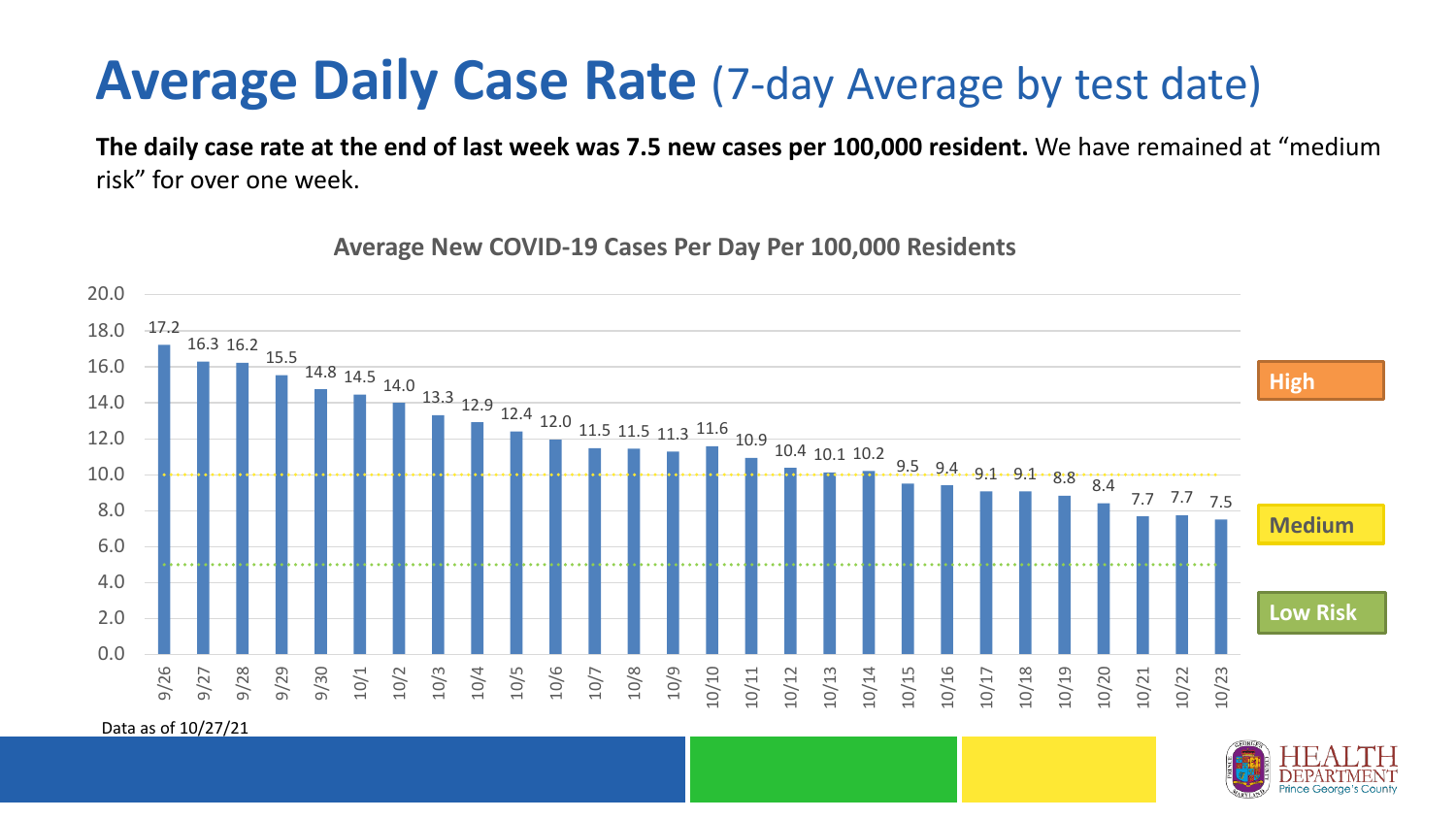### **Average Daily Case Rate** (7-day Average by test date)

**The daily case rate at the end of last week was 7.5 new cases per 100,000 resident.** We have remained at "medium risk" for over one week.



**Average New COVID-19 Cases Per Day Per 100,000 Residents**

Data as of 10/27/21